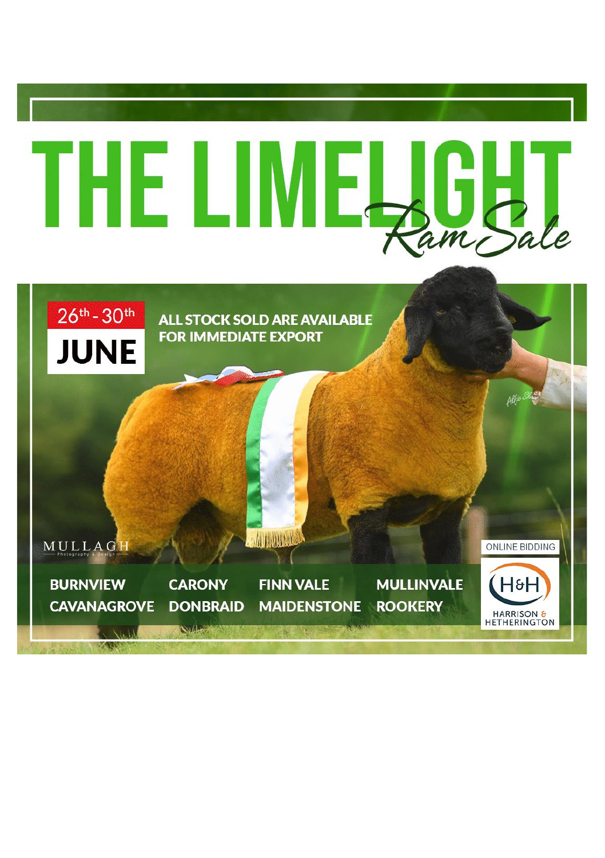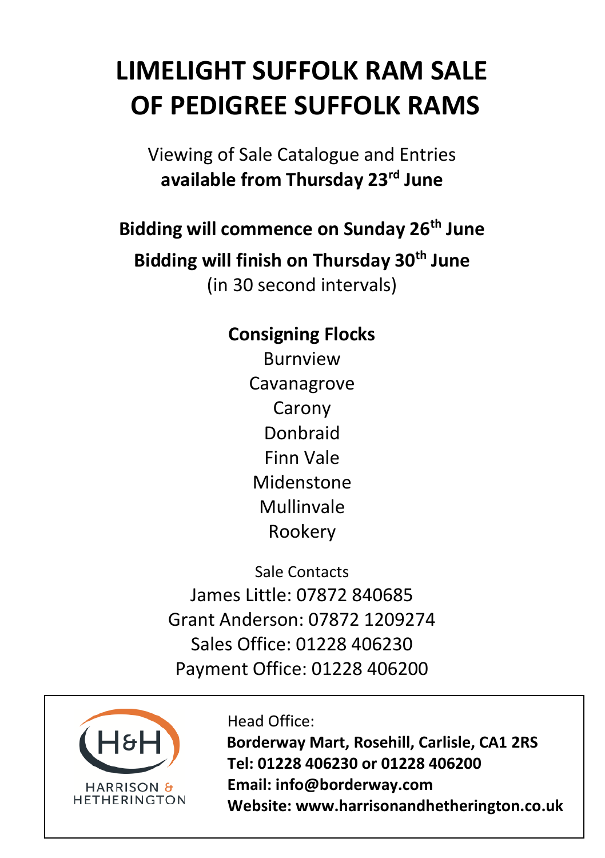# **LIMELIGHT SUFFOLK RAM SALE OF PEDIGREE SUFFOLK RAMS**

Viewing of Sale Catalogue and Entries **available from Thursday 23rd June**

**Bidding will commence on Sunday 26th June Bidding will finish on Thursday 30th June** (in 30 second intervals)

### **Consigning Flocks** Burnview Cavanagrove Carony Donbraid Finn Vale Midenstone Mullinvale Rookery

Sale Contacts James Little: 07872 840685 Grant Anderson: 07872 1209274 Sales Office: 01228 406230 Payment Office: 01228 406200



### Head Office:

 **Borderway Mart, Rosehill, Carlisle, CA1 2RS Tel: 01228 406230 or 01228 406200 Email: info@borderway.com Website: www.harrisonandhetherington.co.uk**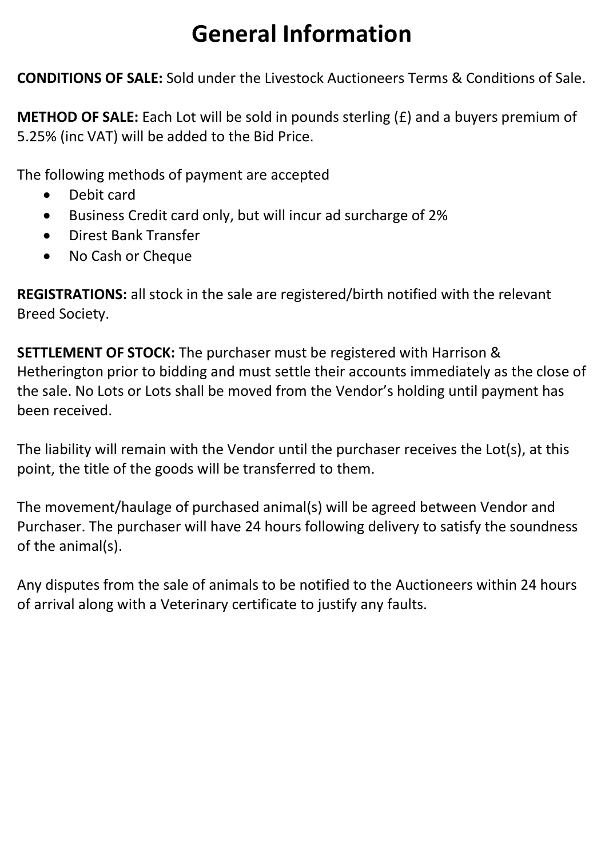# **General Information**

**CONDITIONS OF SALE:** Sold under the Livestock Auctioneers Terms & Conditions of Sale.

**METHOD OF SALE:** Each Lot will be sold in pounds sterling (£) and a buyers premium of 5.25% (inc VAT) will be added to the Bid Price.

The following methods of payment are accepted

- Debit card
- Business Credit card only, but will incur ad surcharge of 2%
- Direst Bank Transfer
- No Cash or Cheque

**REGISTRATIONS:** all stock in the sale are registered/birth notified with the relevant Breed Society.

**SETTLEMENT OF STOCK:** The purchaser must be registered with Harrison & Hetherington prior to bidding and must settle their accounts immediately as the close of the sale. No Lots or Lots shall be moved from the Vendor's holding until payment has been received.

The liability will remain with the Vendor until the purchaser receives the Lot(s), at this point, the title of the goods will be transferred to them.

The movement/haulage of purchased animal(s) will be agreed between Vendor and Purchaser. The purchaser will have 24 hours following delivery to satisfy the soundness of the animal(s).

Any disputes from the sale of animals to be notified to the Auctioneers within 24 hours of arrival along with a Veterinary certificate to justify any faults.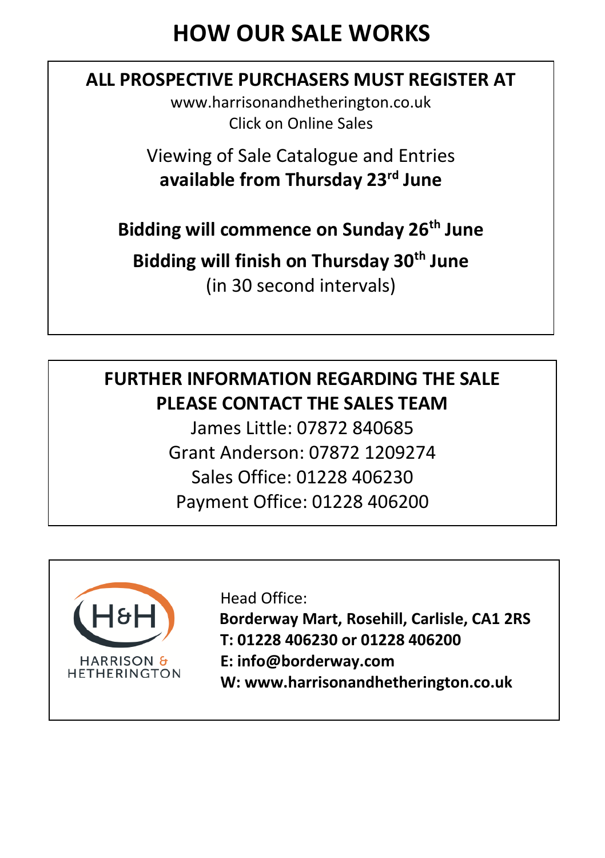## **HOW OUR SALE WORKS**

### **ALL PROSPECTIVE PURCHASERS MUST REGISTER AT**

www.harrisonandhetherington.co.uk Click on Online Sales

Viewing of Sale Catalogue and Entries **available from Thursday 23rd June**

**Bidding will commence on Sunday 26th June**

**Bidding will finish on Thursday 30th June**

(in 30 second intervals)

## **FURTHER INFORMATION REGARDING THE SALE PLEASE CONTACT THE SALES TEAM**

James Little: 07872 840685 Grant Anderson: 07872 1209274 Sales Office: 01228 406230 Payment Office: 01228 406200



Head Office:

**Borderway Mart, Rosehill, Carlisle, CA1 2RS T: 01228 406230 or 01228 406200**

 **W: www.harrisonandhetherington.co.uk**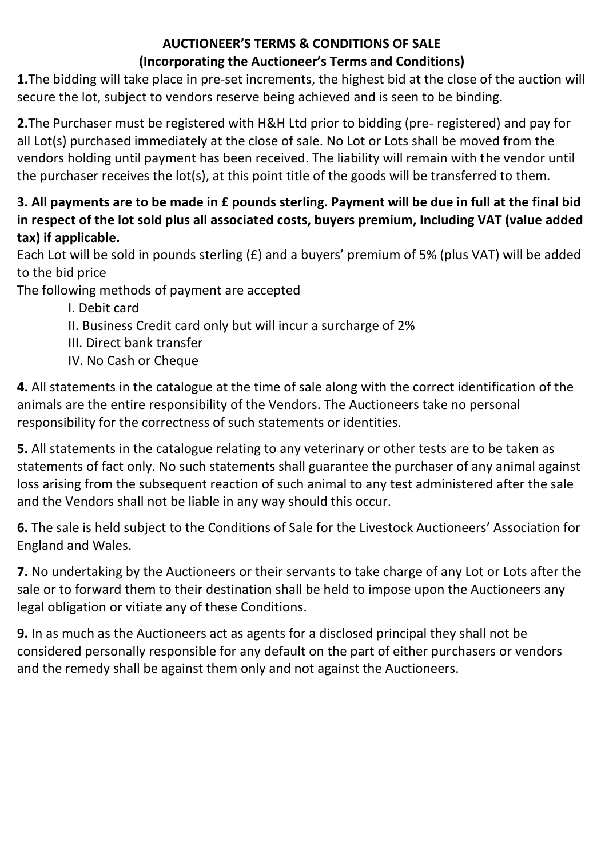#### **AUCTIONEER'S TERMS & CONDITIONS OF SALE (Incorporating the Auctioneer's Terms and Conditions)**

**1.**The bidding will take place in pre-set increments, the highest bid at the close of the auction will secure the lot, subject to vendors reserve being achieved and is seen to be binding.

**2.**The Purchaser must be registered with H&H Ltd prior to bidding (pre- registered) and pay for all Lot(s) purchased immediately at the close of sale. No Lot or Lots shall be moved from the vendors holding until payment has been received. The liability will remain with the vendor until the purchaser receives the lot(s), at this point title of the goods will be transferred to them.

#### **3. All payments are to be made in £ pounds sterling. Payment will be due in full at the final bid in respect of the lot sold plus all associated costs, buyers premium, Including VAT (value added tax) if applicable.**

Each Lot will be sold in pounds sterling (£) and a buyers' premium of 5% (plus VAT) will be added to the bid price

The following methods of payment are accepted

I. Debit card

II. Business Credit card only but will incur a surcharge of 2%

III. Direct bank transfer

IV. No Cash or Cheque

**4.** All statements in the catalogue at the time of sale along with the correct identification of the animals are the entire responsibility of the Vendors. The Auctioneers take no personal responsibility for the correctness of such statements or identities.

**5.** All statements in the catalogue relating to any veterinary or other tests are to be taken as statements of fact only. No such statements shall guarantee the purchaser of any animal against loss arising from the subsequent reaction of such animal to any test administered after the sale and the Vendors shall not be liable in any way should this occur.

**6.** The sale is held subject to the Conditions of Sale for the Livestock Auctioneers' Association for England and Wales.

**7.** No undertaking by the Auctioneers or their servants to take charge of any Lot or Lots after the sale or to forward them to their destination shall be held to impose upon the Auctioneers any legal obligation or vitiate any of these Conditions.

**9.** In as much as the Auctioneers act as agents for a disclosed principal they shall not be considered personally responsible for any default on the part of either purchasers or vendors and the remedy shall be against them only and not against the Auctioneers.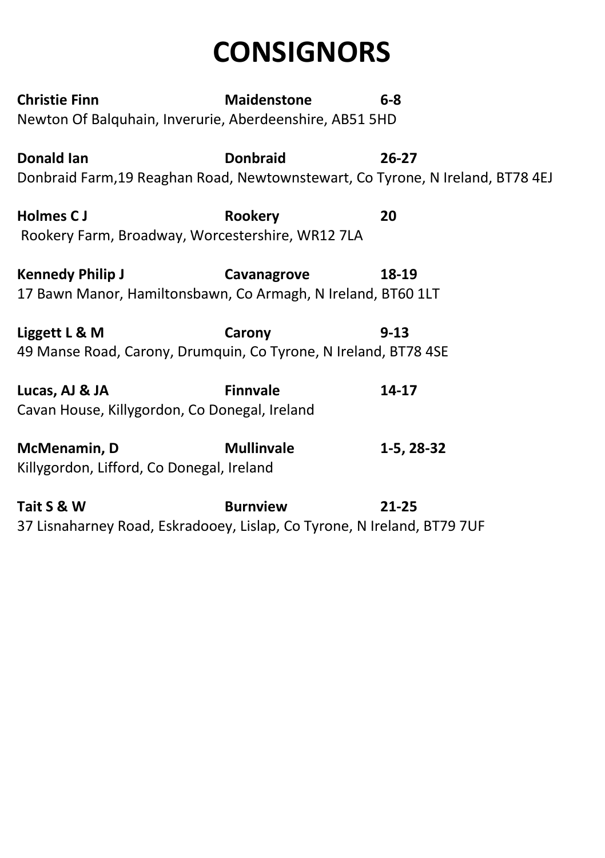# **CONSIGNORS**

| <b>Christie Finn</b> |                                                                                | <b>Maidenstone</b> | $6 - 8$    |  |
|----------------------|--------------------------------------------------------------------------------|--------------------|------------|--|
|                      | Newton Of Balquhain, Inverurie, Aberdeenshire, AB51 5HD                        |                    |            |  |
|                      | Donald Ian                                                                     | <b>Donbraid</b>    | $26-27$    |  |
|                      | Donbraid Farm, 19 Reaghan Road, Newtownstewart, Co Tyrone, N Ireland, BT78 4EJ |                    |            |  |
|                      | <b>Holmes CJ</b>                                                               | Rookery            | 20         |  |
|                      | Rookery Farm, Broadway, Worcestershire, WR12 7LA                               |                    |            |  |
|                      | <b>Kennedy Philip J</b>                                                        | Cavanagrove        | 18-19      |  |
|                      | 17 Bawn Manor, Hamiltonsbawn, Co Armagh, N Ireland, BT60 1LT                   |                    |            |  |
|                      | Liggett L & M                                                                  | Carony             | $9 - 13$   |  |
|                      | 49 Manse Road, Carony, Drumquin, Co Tyrone, N Ireland, BT78 4SE                |                    |            |  |
|                      | Lucas, AJ & JA                                                                 | <b>Finnvale</b>    | 14-17      |  |
|                      | Cavan House, Killygordon, Co Donegal, Ireland                                  |                    |            |  |
|                      |                                                                                |                    |            |  |
|                      | McMenamin, D<br>Killygordon, Lifford, Co Donegal, Ireland                      | <b>Mullinvale</b>  | 1-5, 28-32 |  |
|                      |                                                                                |                    |            |  |
|                      | Tait S & W                                                                     | <b>Burnview</b>    | $21 - 25$  |  |
|                      | 37 Lisnaharney Road, Eskradooey, Lislap, Co Tyrone, N Ireland, BT79 7UF        |                    |            |  |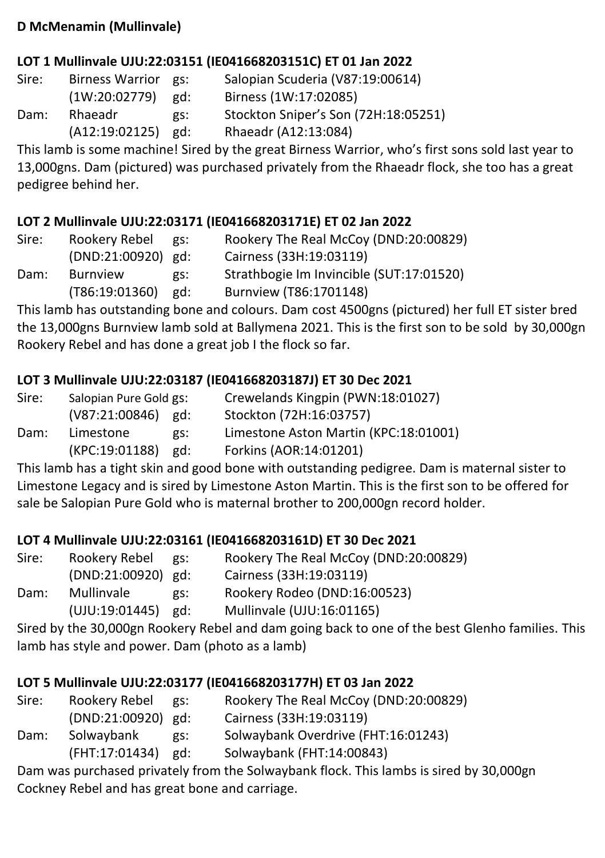#### **D McMenamin (Mullinvale)**

#### **LOT 1 Mullinvale UJU:22:03151 (IE041668203151C) ET 01 Jan 2022**

| Sire: | <b>Birness Warrior</b> | es: | Salopian Scuderia (V87:19:00614)     |
|-------|------------------------|-----|--------------------------------------|
|       | (1W:20:02779)          | gd: | Birness (1W:17:02085)                |
| Dam:  | Rhaeadr                | gs: | Stockton Sniper's Son (72H:18:05251) |
|       | (A12:19:02125)         | gd: | Rhaeadr (A12:13:084)                 |

This lamb is some machine! Sired by the great Birness Warrior, who's first sons sold last year to 13,000gns. Dam (pictured) was purchased privately from the Rhaeadr flock, she too has a great pedigree behind her.

#### **LOT 2 Mullinvale UJU:22:03171 (IE041668203171E) ET 02 Jan 2022**

| Sire: | Rookery Rebel      | gs: | Rookery The Real McCoy (DND:20:00829)    |
|-------|--------------------|-----|------------------------------------------|
|       | (DND:21:00920) gd: |     | Cairness (33H:19:03119)                  |
| Dam:  | <b>Burnview</b>    | gs: | Strathbogie Im Invincible (SUT:17:01520) |
|       | (T86:19:01360)     | gd: | Burnview (T86:1701148)                   |

This lamb has outstanding bone and colours. Dam cost 4500gns (pictured) her full ET sister bred the 13,000gns Burnview lamb sold at Ballymena 2021. This is the first son to be sold by 30,000gn Rookery Rebel and has done a great job I the flock so far.

#### **LOT 3 Mullinvale UJU:22:03187 (IE041668203187J) ET 30 Dec 2021**

| Sire: | Salopian Pure Gold gs: |     | Crewelands Kingpin (PWN:18:01027)     |
|-------|------------------------|-----|---------------------------------------|
|       | $(V87:21:00846)$ gd:   |     | Stockton (72H:16:03757)               |
| Dam:  | Limestone              | gs: | Limestone Aston Martin (KPC:18:01001) |
|       | (KPC:19:01188)         | gd: | Forkins (AOR:14:01201)                |

This lamb has a tight skin and good bone with outstanding pedigree. Dam is maternal sister to Limestone Legacy and is sired by Limestone Aston Martin. This is the first son to be offered for sale be Salopian Pure Gold who is maternal brother to 200,000gn record holder.

#### **LOT 4 Mullinvale UJU:22:03161 (IE041668203161D) ET 30 Dec 2021**

| Sire: | Rookery Rebel      | gs: | Rookery The Real McCoy (DND:20:00829) |
|-------|--------------------|-----|---------------------------------------|
|       | (DND:21:00920) gd: |     | Cairness (33H:19:03119)               |
| Dam:  | Mullinvale         | gs: | Rookery Rodeo (DND:16:00523)          |
|       | (UJU:19:01445)     | gd: | Mullinvale (UJU:16:01165)             |

Sired by the 30,000gn Rookery Rebel and dam going back to one of the best Glenho families. This lamb has style and power. Dam (photo as a lamb)

#### **LOT 5 Mullinvale UJU:22:03177 (IE041668203177H) ET 03 Jan 2022**

| Sire: | Rookery Rebel        | es: | Rookery The Real McCoy (DND:20:00829) |
|-------|----------------------|-----|---------------------------------------|
|       | $(DND:21:00920)$ gd: |     | Cairness (33H:19:03119)               |
| Dam:  | Solwaybank           | gs: | Solwaybank Overdrive (FHT:16:01243)   |
|       | (FHT:17:01434)       | gd: | Solwaybank (FHT:14:00843)             |

Dam was purchased privately from the Solwaybank flock. This lambs is sired by 30,000gn Cockney Rebel and has great bone and carriage.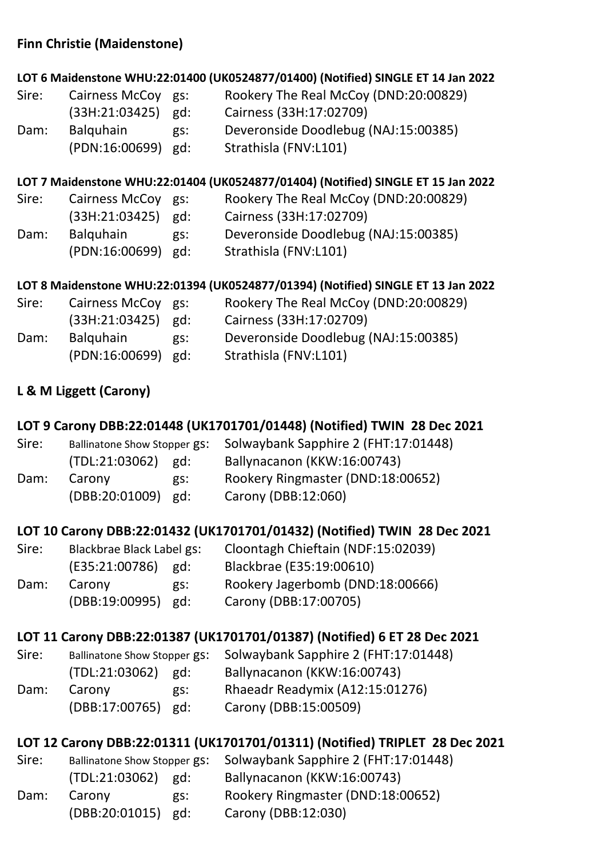#### **Finn Christie (Maidenstone)**

#### **LOT 6 Maidenstone WHU:22:01400 (UK0524877/01400) (Notified) SINGLE ET 14 Jan 2022**

Sire: Cairness McCoy gs: Rookery The Real McCoy (DND:20:00829) (33H:21:03425) gd: Cairness (33H:17:02709) Dam: Balquhain gs: Deveronside Doodlebug (NAJ:15:00385) (PDN:16:00699) gd: Strathisla (FNV:L101)

#### **LOT 7 Maidenstone WHU:22:01404 (UK0524877/01404) (Notified) SINGLE ET 15 Jan 2022**

Sire: Cairness McCoy gs: Rookery The Real McCoy (DND:20:00829) (33H:21:03425) gd: Cairness (33H:17:02709) Dam: Balquhain gs: Deveronside Doodlebug (NAJ:15:00385) (PDN:16:00699) gd: Strathisla (FNV:L101)

#### **LOT 8 Maidenstone WHU:22:01394 (UK0524877/01394) (Notified) SINGLE ET 13 Jan 2022**

| Sire: | Cairness McCoy gs: |     | Rookery The Real McCoy (DND:20:00829) |
|-------|--------------------|-----|---------------------------------------|
|       | (33H:21:03425)     | gd: | Cairness (33H:17:02709)               |
| Dam:  | <b>Balguhain</b>   | gs: | Deveronside Doodlebug (NAJ:15:00385)  |
|       | (PDN:16:00699) gd: |     | Strathisla (FNV:L101)                 |

#### **L & M Liggett (Carony)**

#### **LOT 9 Carony DBB:22:01448 (UK1701701/01448) (Notified) TWIN 28 Dec 2021**

| Sire: | <b>Ballinatone Show Stopper gs:</b> |     | Solwaybank Sapphire 2 (FHT:17:01448) |
|-------|-------------------------------------|-----|--------------------------------------|
|       | $(TDL:21:03062)$ gd:                |     | Ballynacanon (KKW:16:00743)          |
| Dam:  | Carony                              | gs: | Rookery Ringmaster (DND:18:00652)    |
|       | (DBB:20:01009) gd:                  |     | Carony (DBB:12:060)                  |

#### **LOT 10 Carony DBB:22:01432 (UK1701701/01432) (Notified) TWIN 28 Dec 2021**

| Sire: | Blackbrae Black Label gs: |     | Cloontagh Chieftain (NDF:15:02039) |
|-------|---------------------------|-----|------------------------------------|
|       | (E35:21:00786)            | gd: | Blackbrae (E35:19:00610)           |
| Dam:  | Carony                    | gs: | Rookery Jagerbomb (DND:18:00666)   |
|       | $(DBB:19:00995)$ gd:      |     | Carony (DBB:17:00705)              |

#### **LOT 11 Carony DBB:22:01387 (UK1701701/01387) (Notified) 6 ET 28 Dec 2021**

| Sire: | <b>Ballinatone Show Stopper gs:</b> |     | Solwaybank Sapphire 2 (FHT:17:01448) |
|-------|-------------------------------------|-----|--------------------------------------|
|       | $(TDL:21:03062)$ gd:                |     | Ballynacanon (KKW:16:00743)          |
| Dam:  | Carony                              | gs: | Rhaeadr Readymix (A12:15:01276)      |
|       | (DBB:17:00765) gd:                  |     | Carony (DBB:15:00509)                |

#### **LOT 12 Carony DBB:22:01311 (UK1701701/01311) (Notified) TRIPLET 28 Dec 2021**

| Sire: | <b>Ballinatone Show Stopper gs:</b> |     | Solwaybank Sapphire 2 (FHT:17:01448) |
|-------|-------------------------------------|-----|--------------------------------------|
|       | $(TDL:21:03062)$ gd:                |     | Ballynacanon (KKW:16:00743)          |
| Dam:  | Carony                              | gs: | Rookery Ringmaster (DND:18:00652)    |
|       | $(DBB:20:01015)$ gd:                |     | Carony (DBB:12:030)                  |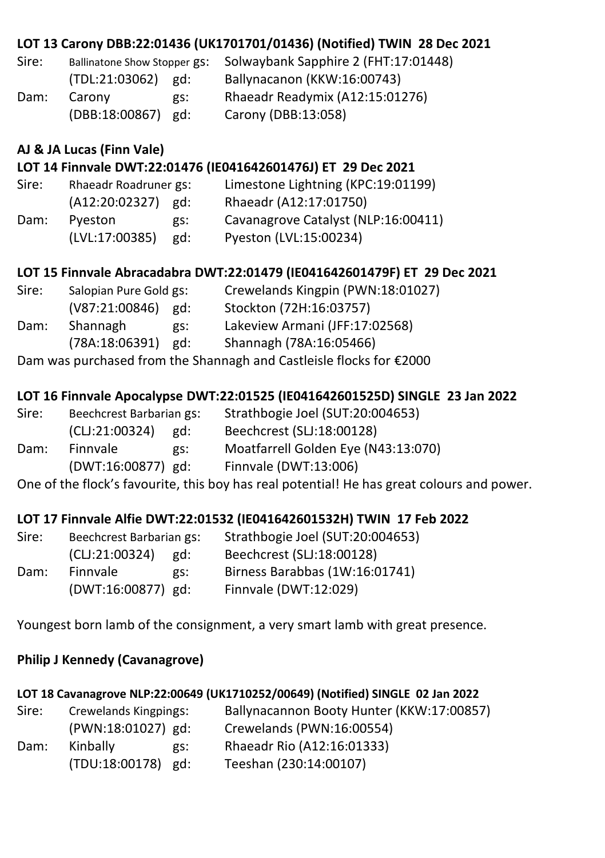|       |                                     |                   | LOT 13 Carony DBB:22:01436 (UK1701701/01436) (Notified) TWIN 28 Dec 2021                   |
|-------|-------------------------------------|-------------------|--------------------------------------------------------------------------------------------|
| Sire: | <b>Ballinatone Show Stopper gs:</b> |                   | Solwaybank Sapphire 2 (FHT:17:01448)                                                       |
|       | $(TDL:21:03062)$ gd:                |                   | Ballynacanon (KKW:16:00743)                                                                |
| Dam:  | Carony                              | gs:               | Rhaeadr Readymix (A12:15:01276)                                                            |
|       | (DBB:18:00867) gd:                  |                   | Carony (DBB:13:058)                                                                        |
|       | AJ & JA Lucas (Finn Vale)           |                   |                                                                                            |
|       |                                     |                   | LOT 14 Finnvale DWT:22:01476 (IE041642601476J) ET 29 Dec 2021                              |
| Sire: | Rhaeadr Roadruner gs:               |                   | Limestone Lightning (KPC:19:01199)                                                         |
|       | $(A12:20:02327)$ gd:                |                   | Rhaeadr (A12:17:01750)                                                                     |
| Dam:  | Pyeston                             | gs:               | Cavanagrove Catalyst (NLP:16:00411)                                                        |
|       | (LVL:17:00385) gd:                  |                   | Pyeston (LVL:15:00234)                                                                     |
|       |                                     |                   | LOT 15 Finnvale Abracadabra DWT:22:01479 (IE041642601479F) ET 29 Dec 2021                  |
| Sire: | Salopian Pure Gold gs:              |                   | Crewelands Kingpin (PWN:18:01027)                                                          |
|       | (V87:21:00846) gd:                  |                   | Stockton (72H:16:03757)                                                                    |
| Dam:  | Shannagh                            | $\overline{gs}$ : | Lakeview Armani (JFF:17:02568)                                                             |
|       | (78A:18:06391) gd:                  |                   | Shannagh (78A:16:05466)                                                                    |
|       |                                     |                   | Dam was purchased from the Shannagh and Castleisle flocks for €2000                        |
|       |                                     |                   | LOT 16 Finnvale Apocalypse DWT:22:01525 (IE041642601525D) SINGLE 23 Jan 2022               |
| Sire: | Beechcrest Barbarian gs:            |                   | Strathbogie Joel (SUT:20:004653)                                                           |
|       | (CLJ:21:00324) gd:                  |                   | Beechcrest (SLJ:18:00128)                                                                  |
| Dam:  | Finnvale                            | gs:               | Moatfarrell Golden Eye (N43:13:070)                                                        |
|       | (DWT:16:00877) gd:                  |                   | Finnvale (DWT:13:006)                                                                      |
|       |                                     |                   | One of the flock's favourite, this boy has real potential! He has great colours and power. |

#### **LOT 17 Finnvale Alfie DWT:22:01532 (IE041642601532H) TWIN 17 Feb 2022**

| Sire:<br>Beechcrest Barbarian gs: |                    |     | Strathbogie Joel (SUT:20:004653) |
|-----------------------------------|--------------------|-----|----------------------------------|
|                                   | (CL):21:00324)     | ed: | Beechcrest (SLJ:18:00128)        |
| Dam:                              | Finnvale           | gs: | Birness Barabbas (1W:16:01741)   |
|                                   | (DWT:16:00877) gd: |     | Finnvale (DWT:12:029)            |

Youngest born lamb of the consignment, a very smart lamb with great presence.

#### **Philip J Kennedy (Cavanagrove)**

#### **LOT 18 Cavanagrove NLP:22:00649 (UK1710252/00649) (Notified) SINGLE 02 Jan 2022**

| Sire: | Crewelands Kingpings: | Ballynacannon Booty Hunter (KKW:17:00857) |
|-------|-----------------------|-------------------------------------------|
|       | (PWN:18:01027) gd:    | Crewelands (PWN:16:00554)                 |
| Dam:  | Kinbally<br>gs:       | Rhaeadr Rio (A12:16:01333)                |
|       | (TDU:18:00178) gd:    | Teeshan (230:14:00107)                    |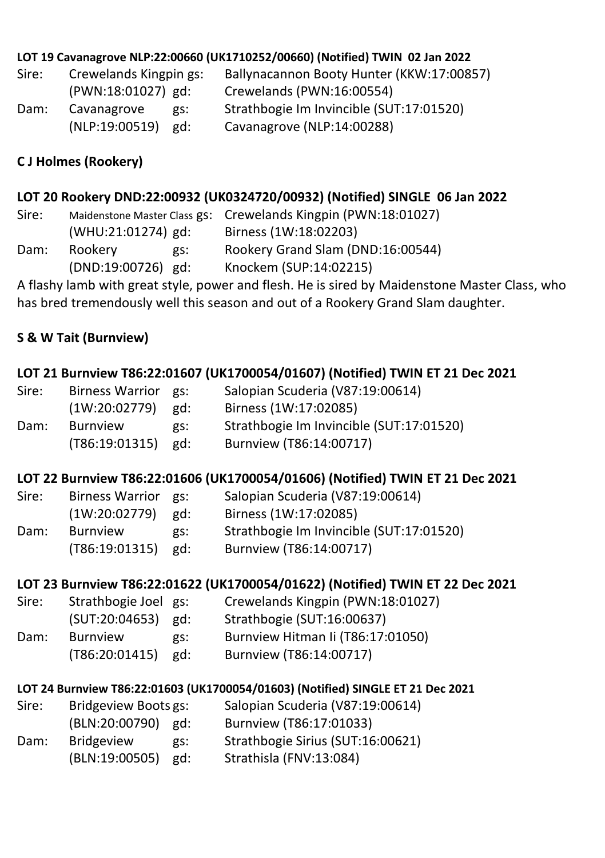#### **LOT 19 Cavanagrove NLP:22:00660 (UK1710252/00660) (Notified) TWIN 02 Jan 2022**

| Sire: | Crewelands Kingpin gs: | Ballynacannon Booty Hunter (KKW:17:00857) |
|-------|------------------------|-------------------------------------------|
|       | (PWN:18:01027) gd:     | Crewelands (PWN:16:00554)                 |
| Dam:  | Cavanagrove<br>gs:     | Strathbogie Im Invincible (SUT:17:01520)  |
|       | $(NLP:19:00519)$ gd:   | Cavanagrove (NLP:14:00288)                |

#### **C J Holmes (Rookery)**

#### **LOT 20 Rookery DND:22:00932 (UK0324720/00932) (Notified) SINGLE 06 Jan 2022**

Sire: Maidenstone Master Class gs: Crewelands Kingpin (PWN:18:01027) (WHU:21:01274) gd: Birness (1W:18:02203) Dam: Rookery gs: Rookery Grand Slam (DND:16:00544) (DND:19:00726) gd: Knockem (SUP:14:02215)

A flashy lamb with great style, power and flesh. He is sired by Maidenstone Master Class, who has bred tremendously well this season and out of a Rookery Grand Slam daughter.

#### **S & W Tait (Burnview)**

#### **LOT 21 Burnview T86:22:01607 (UK1700054/01607) (Notified) TWIN ET 21 Dec 2021**

| Sire: | Birness Warrior gs: |     | Salopian Scuderia (V87:19:00614)         |
|-------|---------------------|-----|------------------------------------------|
|       | (1W:20:02779)       | gd: | Birness (1W:17:02085)                    |
| Dam:  | <b>Burnview</b>     | gs: | Strathbogie Im Invincible (SUT:17:01520) |
|       | (T86:19:01315)      | gd: | Burnview (T86:14:00717)                  |

#### **LOT 22 Burnview T86:22:01606 (UK1700054/01606) (Notified) TWIN ET 21 Dec 2021**

| Sire: | Birness Warrior gs: |     | Salopian Scuderia (V87:19:00614)         |
|-------|---------------------|-----|------------------------------------------|
|       | (1W:20:02779)       | gd: | Birness (1W:17:02085)                    |
| Dam:  | <b>Burnview</b>     | gs: | Strathbogie Im Invincible (SUT:17:01520) |
|       | (T86:19:01315)      | ed: | Burnview (T86:14:00717)                  |

#### **LOT 23 Burnview T86:22:01622 (UK1700054/01622) (Notified) TWIN ET 22 Dec 2021**

- Sire: Strathbogie Joel gs: Crewelands Kingpin (PWN:18:01027) (SUT:20:04653) gd: Strathbogie (SUT:16:00637) Dam: Burnview gs: Burnview Hitman Ii (T86:17:01050) (T86:20:01415) gd: Burnview (T86:14:00717)
- 

#### **LOT 24 Burnview T86:22:01603 (UK1700054/01603) (Notified) SINGLE ET 21 Dec 2021**

| Sire: | Bridgeview Boots gs: |     | Salopian Scuderia (V87:19:00614)  |
|-------|----------------------|-----|-----------------------------------|
|       | (BLN:20:00790) gd:   |     | Burnview (T86:17:01033)           |
| Dam:  | <b>Bridgeview</b>    | gs: | Strathbogie Sirius (SUT:16:00621) |
|       | (BLN:19:00505)       | gd: | Strathisla (FNV:13:084)           |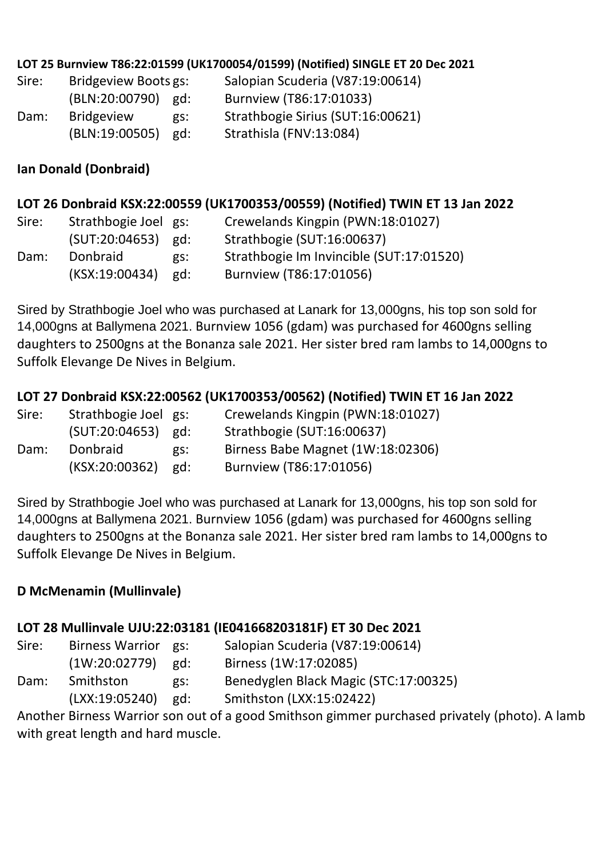#### **LOT 25 Burnview T86:22:01599 (UK1700054/01599) (Notified) SINGLE ET 20 Dec 2021**

| Sire: | Bridgeview Boots gs: |     | Salopian Scuderia (V87:19:00614)  |
|-------|----------------------|-----|-----------------------------------|
|       | (BLN:20:00790) gd:   |     | Burnview (T86:17:01033)           |
| Dam:  | <b>Bridgeview</b>    | gs: | Strathbogie Sirius (SUT:16:00621) |
|       | (BLN:19:00505)       | gd: | Strathisla (FNV:13:084)           |

#### **Ian Donald (Donbraid)**

#### **LOT 26 Donbraid KSX:22:00559 (UK1700353/00559) (Notified) TWIN ET 13 Jan 2022**

| Sire: | Strathbogie Joel gs: |     | Crewelands Kingpin (PWN:18:01027)        |
|-------|----------------------|-----|------------------------------------------|
|       | $(SUT:20:04653)$ gd: |     | Strathbogie (SUT:16:00637)               |
| Dam:  | Donbraid             | gs: | Strathbogie Im Invincible (SUT:17:01520) |
|       | (KSX:19:00434)       | ed: | Burnview (T86:17:01056)                  |

Sired by Strathbogie Joel who was purchased at Lanark for 13,000gns, his top son sold for 14,000gns at Ballymena 2021. Burnview 1056 (gdam) was purchased for 4600gns selling daughters to 2500gns at the Bonanza sale 2021. Her sister bred ram lambs to 14,000gns to Suffolk Elevange De Nives in Belgium.

#### **LOT 27 Donbraid KSX:22:00562 (UK1700353/00562) (Notified) TWIN ET 16 Jan 2022**

| Sire: | Strathbogie Joel gs: |     | Crewelands Kingpin (PWN:18:01027) |
|-------|----------------------|-----|-----------------------------------|
|       | (SUT:20:04653)       | gd: | Strathbogie (SUT:16:00637)        |
| Dam:  | Donbraid             | gs: | Birness Babe Magnet (1W:18:02306) |
|       | (KSX:20:00362)       | gd: | Burnview (T86:17:01056)           |

Sired by Strathbogie Joel who was purchased at Lanark for 13,000gns, his top son sold for 14,000gns at Ballymena 2021. Burnview 1056 (gdam) was purchased for 4600gns selling daughters to 2500gns at the Bonanza sale 2021. Her sister bred ram lambs to 14,000gns to Suffolk Elevange De Nives in Belgium.

#### **D McMenamin (Mullinvale)**

#### **LOT 28 Mullinvale UJU:22:03181 (IE041668203181F) ET 30 Dec 2021**

| Sire: | <b>Birness Warrior</b> | gs: | Salopian Scuderia (V87:19:00614)      |
|-------|------------------------|-----|---------------------------------------|
|       | (1W:20:02779)          | gd: | Birness (1W:17:02085)                 |
| Dam:  | Smithston              | gs: | Benedyglen Black Magic (STC:17:00325) |
|       | (LXX:19:05240)         | gd: | Smithston (LXX:15:02422)              |

Another Birness Warrior son out of a good Smithson gimmer purchased privately (photo). A lamb with great length and hard muscle.